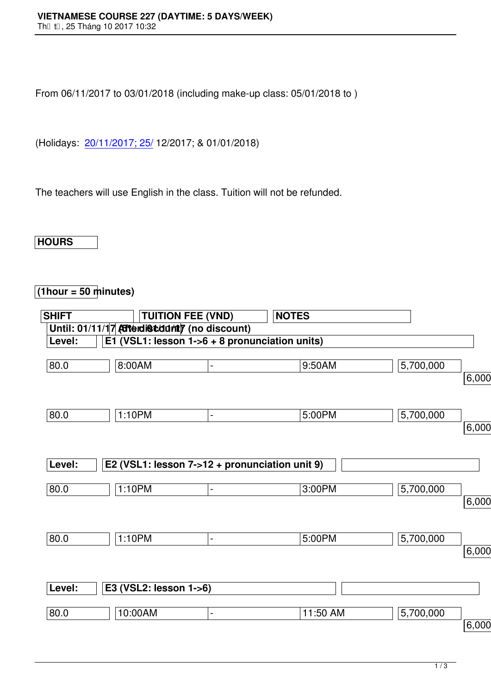From 06/11/2017 to 03/01/2018 (including make-up class: 05/01/2018 to )

(Holidays: 20/11/2017; 25/ 12/2017; & 01/01/2018)

The teache[rs will use Englis](http://www.vns.edu.vn/)h in the class. Tuition will not be refunded.

**HOURS**

## **(1hour = 50 minutes)**

| <b>SHIFT</b> | <b>TUITION FEE (VND)</b>                       |                          | <b>NOTES</b> |           |          |
|--------------|------------------------------------------------|--------------------------|--------------|-----------|----------|
|              | Until: 01/11/17 Atterdist durity (no discount) |                          |              |           |          |
| Level:       | E1 (VSL1: lesson 1->6 + 8 pronunciation units) |                          |              |           |          |
| 80.0         | 8:00AM                                         | $\blacksquare$           | 9:50AM       | 5,700,000 | 6,000,00 |
| 80.0         | 1:10PM                                         | $\blacksquare$           | 5:00PM       | 5,700,000 | 6,000,00 |
| Level:       | E2 (VSL1: lesson 7->12 + pronunciation unit 9) |                          |              |           |          |
| 80.0         | 1:10PM                                         | $\overline{\phantom{a}}$ | 3:00PM       | 5,700,000 | 6,000,00 |
| 80.0         | 1:10PM                                         | $\blacksquare$           | 5:00PM       | 5,700,000 | 6,000,00 |
| Level:       | E3 (VSL2: lesson 1->6)                         |                          |              |           |          |
| 80.0         | 10:00AM                                        | $\blacksquare$           | 11:50 AM     | 5,700,000 | 6,000,00 |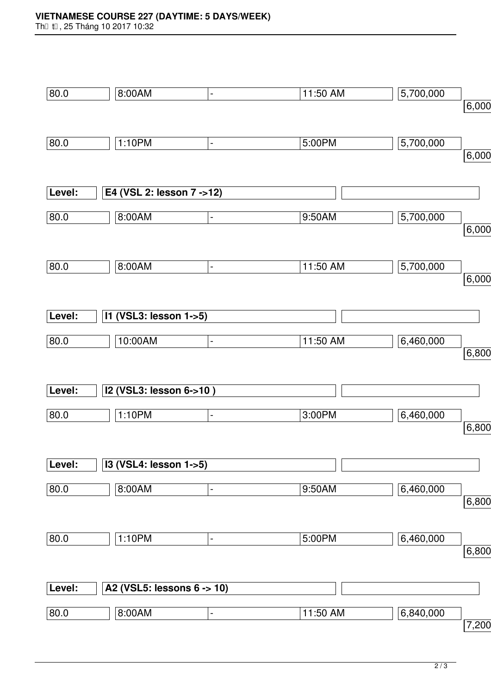Th⊡ t⊡, 25 Tháng 10 2017 10:32

| 80.0   | 8:00AM                           | $\blacksquare$               | 11:50 AM | 5,700,000 |       |
|--------|----------------------------------|------------------------------|----------|-----------|-------|
|        |                                  |                              |          |           | 6,000 |
|        |                                  |                              |          |           |       |
| 80.0   | 1:10PM                           | $\qquad \qquad \blacksquare$ | 5:00PM   | 5,700,000 |       |
|        |                                  |                              |          |           | 6,000 |
|        |                                  |                              |          |           |       |
|        |                                  |                              |          |           |       |
| Level: | E4 (VSL 2: lesson 7 ->12)        |                              |          |           |       |
| 80.0   | 8:00AM                           | $\qquad \qquad \blacksquare$ | 9:50AM   | 5,700,000 |       |
|        |                                  |                              |          |           | 6,000 |
|        |                                  |                              |          |           |       |
|        |                                  |                              |          |           |       |
| 80.0   | 8:00AM                           | $\qquad \qquad \blacksquare$ | 11:50 AM | 5,700,000 | 6,000 |
|        |                                  |                              |          |           |       |
|        |                                  |                              |          |           |       |
| Level: | 11 (VSL3: lesson 1->5)           |                              |          |           |       |
|        |                                  |                              |          |           |       |
| 80.0   | 10:00AM                          | $\blacksquare$               | 11:50 AM | 6,460,000 |       |
|        |                                  |                              |          |           | 6,800 |
|        |                                  |                              |          |           |       |
| Level: | I2 (VSL3: lesson 6->10)          |                              |          |           |       |
|        |                                  |                              |          |           |       |
| 80.0   | 1:10PM                           | $\qquad \qquad \blacksquare$ | 3:00PM   | 6,460,000 |       |
|        |                                  |                              |          |           | 6,800 |
|        |                                  |                              |          |           |       |
| Level: | <b>I3 (VSL4: lesson 1-&gt;5)</b> |                              |          |           |       |
|        |                                  |                              |          |           |       |
| 80.0   | 8:00AM                           | $\overline{\phantom{0}}$     | 9:50AM   | 6,460,000 |       |
|        |                                  |                              |          |           | 6,800 |
|        |                                  |                              |          |           |       |
| 80.0   | 1:10PM                           | $\qquad \qquad \blacksquare$ | 5:00PM   | 6,460,000 |       |
|        |                                  |                              |          |           | 6,800 |
|        |                                  |                              |          |           |       |
| Level: | A2 (VSL5: lessons 6 -> 10)       |                              |          |           |       |
|        |                                  |                              |          |           |       |
| 80.0   | 8:00AM                           | $\blacksquare$               | 11:50 AM | 6,840,000 |       |
|        |                                  |                              |          |           | 7,200 |